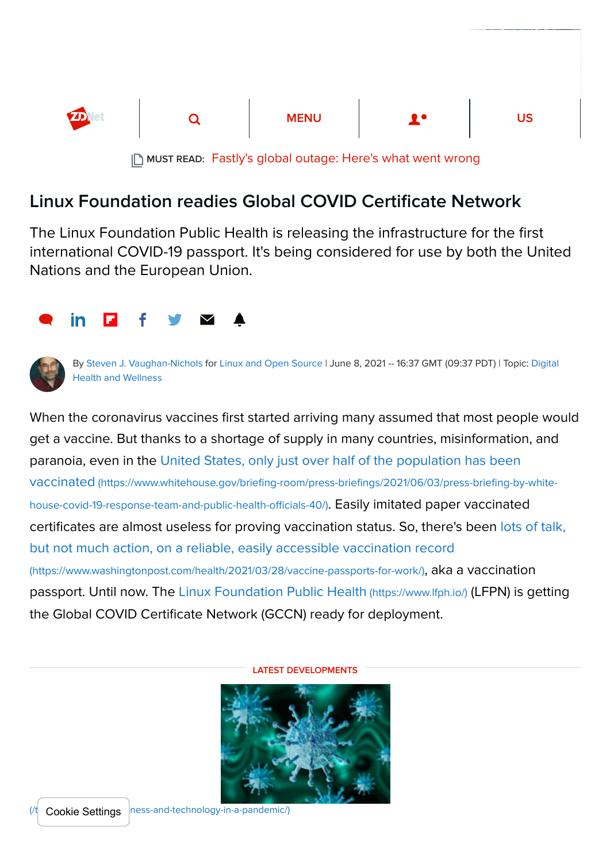

MUST READ: [Fastly's global outage: Here's what went wrong](https://www.zdnet.com/article/fastlys-global-outage-heres-what-went-wrong/)

## Linux Foundation readies Global COVID Certificate Network

The Linux Foundation Public Health is releasing the infrastructure for the first international COVID-19 passport. It's being considered for use by both the United Nations and the European Union.





By [Steven J. Vaughan-Nichols](https://www.zdnet.com/meet-the-team/us/steven-j-vaughan-nichols/) for [Linux and Open Source](https://www.zdnet.com/blog/open-source/) [| June 8, 2021 -- 16:37 GMT \(09:37 PDT\)](https://www.zdnet.com/topic/health/) | Topic: Digital Health and Wellness

When the coronavirus vaccines first started arriving many assumed that most people would get a vaccine. But thanks to a shortage of supply in many countries, misinformation, and [paranoia, even in the United States, only just over half of the population has been](https://www.whitehouse.gov/briefing-room/press-briefings/2021/06/03/press-briefing-by-white-house-covid-19-response-team-and-public-health-officials-40/) vaccinated (https://www.whitehouse.gov/briefing-room/press-briefings/2021/06/03/press-briefing-by-whitehouse-covid-19-response-team-and-public-health-officials-40/). Easily imitated paper vaccinated [certificates are almost useless for proving vaccination status. So, there's been lots of talk,](https://www.washingtonpost.com/health/2021/03/28/vaccine-passports-for-work/) but not much action, on a reliable, easily accessible vaccination record (https://www.washingtonpost.com/health/2021/03/28/vaccine-passports-for-work/), aka a vaccination passport. Until now. The [Linux Foundation Public Health](https://www.lfph.io/) (https://www.lfph.io/) (LFPN) is getting the Global COVID Certificate Network (GCCN) ready for deployment.

LATEST DEVELOPMENTS



(ness-and-technology-in-a-pandemic/) Cookie Settings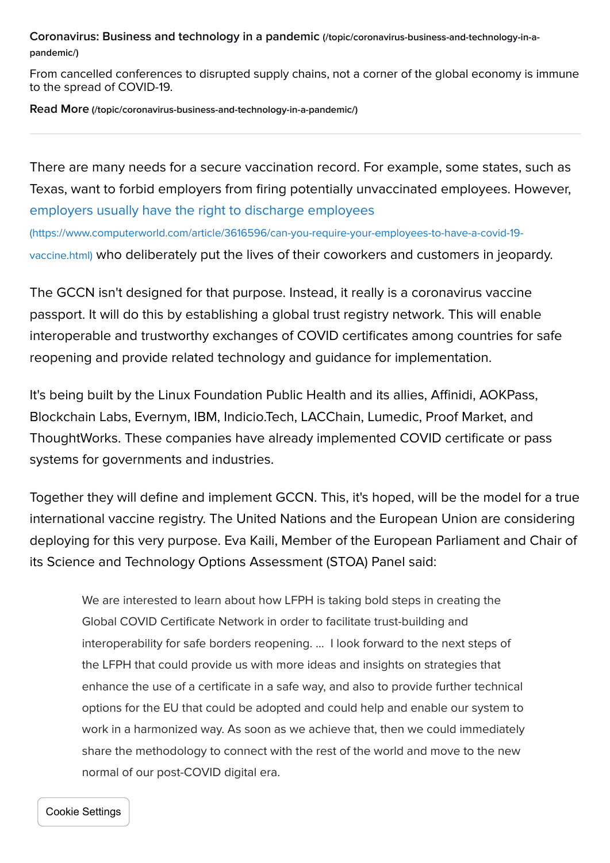[Coronavirus: Business and technology in a pandemic](https://www.zdnet.com/topic/coronavirus-business-and-technology-in-a-pandemic/) (/topic/coronavirus-business-and-technology-in-apandemic/)

From cancelled conferences to disrupted supply chains, not a corner of the global economy is immune to the spread of COVID-19.

Read More [\(/topic/coronavirus-business-and-technology-in-a-pandemic/\)](https://www.zdnet.com/topic/coronavirus-business-and-technology-in-a-pandemic/)

There are many needs for a secure vaccination record. For example, some states, such as Texas, want to forbid employers from firing potentially unvaccinated employees. However, employers usually have the right to discharge employees

(https://www.computerworld.com/article/3616596/can-you-require-your-employees-to-have-a-covid-19 vaccine.html) [who deliberately put the lives of their coworkers and customers in jeop](https://www.computerworld.com/article/3616596/can-you-require-your-employees-to-have-a-covid-19-vaccine.html)ardy.

The GCCN isn't designed for that purpose. Instead, it really is a coronavirus vaccine passport. It will do this by establishing a global trust registry network. This will enable interoperable and trustworthy exchanges of COVID certificates among countries for safe reopening and provide related technology and guidance for implementation.

It's being built by the Linux Foundation Public Health and its allies, Affinidi, AOKPass, Blockchain Labs, Evernym, IBM, Indicio.Tech, LACChain, Lumedic, Proof Market, and ThoughtWorks. These companies have already implemented COVID certificate or pass systems for governments and industries.

Together they will define and implement GCCN. This, it's hoped, will be the model for a true international vaccine registry. The United Nations and the European Union are considering deploying for this very purpose. Eva Kaili, Member of the European Parliament and Chair of its Science and Technology Options Assessment (STOA) Panel said:

We are interested to learn about how LFPH is taking bold steps in creating the Global COVID Certificate Network in order to facilitate trust-building and interoperability for safe borders reopening. … I look forward to the next steps of the LFPH that could provide us with more ideas and insights on strategies that enhance the use of a certificate in a safe way, and also to provide further technical options for the EU that could be adopted and could help and enable our system to work in a harmonized way. As soon as we achieve that, then we could immediately share the methodology to connect with the rest of the world and move to the new normal of our post-COVID digital era.

Cookie Settings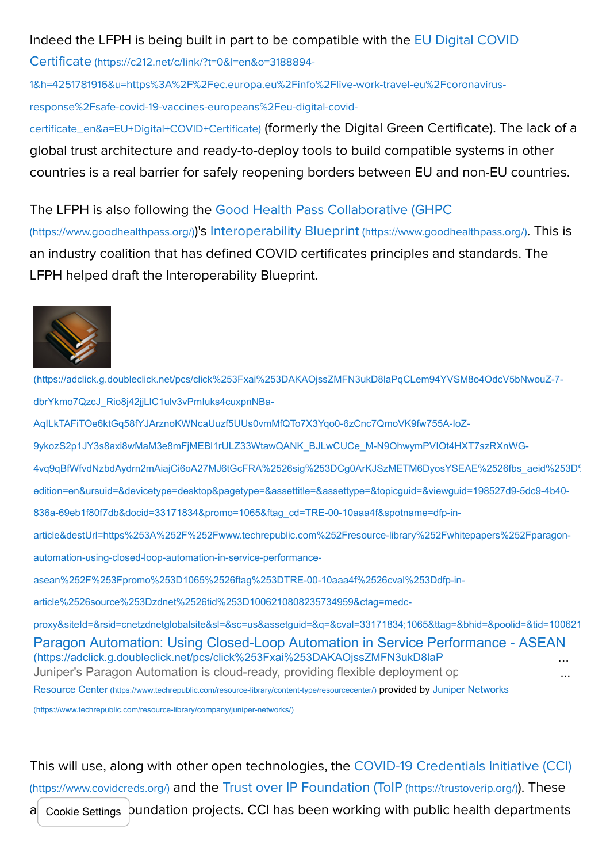## [Indeed the LFPH is being built in part to be compatible with the EU Digital COVID](https://c212.net/c/link/?t=0&l=en&o=3188894-1&h=4251781916&u=https%3A%2F%2Fec.europa.eu%2Finfo%2Flive-work-travel-eu%2Fcoronavirus-response%2Fsafe-covid-19-vaccines-europeans%2Feu-digital-covid-certificate_en&a=EU+Digital+COVID+Certificate)

Certificate (https://c212.net/c/link/?t=0&l=en&o=3188894-

1&h=4251781916&u=https%3A%2F%2Fec.europa.eu%2Finfo%2Flive-work-travel-eu%2Fcoronavirus-

response%2Fsafe-covid-19-vaccines-europeans%2Feu-digital-covid-

certificate\_en&a=EU+Digital+COVID+Certificate) (formerly the Digital Green Certificate). The lack of a global trust architecture and ready-to-deploy tools to build compatible systems in other countries is a real barrier for safely reopening borders between EU and non-EU countries.

[The LFPH is also following the Good Health Pass Collaborative \(GHPC](https://www.goodhealthpass.org/)

(https://www.goodhealthpass.org/))'s [Interoperability Blueprint](https://www.goodhealthpass.org/) (https://www.goodhealthpass.org/). This is an industry coalition that has defined COVID certificates principles and standards. The LFPH helped draft the Interoperability Blueprint.



[Paragon Automation: Using Closed-Loop Automation in Service Performance - ASEAN](https://adclick.g.doubleclick.net/pcs/click%253Fxai%253DAKAOjssZMFN3ukD8laPqCLem94YVSM8o4OdcV5bNwouZ-7-dbrYkmo7QzcJ_Rio8j42jjLlC1ulv3vPmIuks4cuxpnNBa-AqILkTAFiTOe6ktGq58fYJArznoKWNcaUuzf5UUs0vmMfQTo7X3Yqo0-6zCnc7QmoVK9fw755A-IoZ-9ykozS2p1JY3s8axi8wMaM3e8mFjMEBl1rULZ33WtawQANK_BJLwCUCe_M-N9OhwymPVIOt4HXT7szRXnWG-4vq9qBfWfvdNzbdAydrn2mAiajCi6oA27MJ6tGcFRA%2526sig%253DCg0ArKJSzMETM6DyosYSEAE%2526fbs_aeid%253D%255Bgw_fbsaeid%255D%2526urlfix%253D1%2526adurl%253Dhttps://lnk.techrepublic.com/redir?edition=en&ursuid=&devicetype=desktop&pagetype=&assettitle=&assettype=&topicguid=&viewguid=198527d9-5dc9-4b40-836a-69eb1f80f7db&docid=33171834&promo=1065&ftag_cd=TRE-00-10aaa4f&spotname=dfp-in-article&destUrl=https%253A%252F%252Fwww.techrepublic.com%252Fresource-library%252Fwhitepapers%252Fparagon-automation-using-closed-loop-automation-in-service-performance-asean%252F%253Fpromo%253D1065%2526ftag%253DTRE-00-10aaa4f%2526cval%253Ddfp-in-article%2526source%253Dzdnet%2526tid%253D1006210808235734959&ctag=medc-proxy&siteId=&rsid=cnetzdnetglobalsite&sl=&sc=us&assetguid=&q=&cval=33171834;1065&ttag=&bhid=&poolid=&tid=1006210808235734959) (https://adclick.g.doubleclick.net/pcs/click%253Fxai%253DAKAOjssZMFN3ukD8laP Juniper's Paragon Automation is cloud-ready, providing flexible deployment op (https://adclick.g.doubleclick.net/pcs/click%253Fxai%253DAKAOjssZMFN3ukD8laPqCLem94YVSM8o4OdcV5bNwouZ-7 dbrYkmo7QzcJ\_Rio8j42jjLlC1ulv3vPmIuks4cuxpnNBa-AqILkTAFiTOe6ktGq58fYJArznoKWNcaUuzf5UUs0vmMfQTo7X3Yqo0-6zCnc7QmoVK9fw755A-IoZ-9ykozS2p1JY3s8axi8wMaM3e8mFjMEBl1rULZ33WtawQANK\_BJLwCUCe\_M-N9OhwymPVIOt4HXT7szRXnWG-[4vq9qBfWfvdNzbdAydrn2mAiajCi6oA27MJ6tGcFRA%2526sig%253DCg0ArKJSzMETM6DyosYSEAE%2526fbs\\_aeid%253D%](https://adclick.g.doubleclick.net/pcs/click%253Fxai%253DAKAOjssZMFN3ukD8laPqCLem94YVSM8o4OdcV5bNwouZ-7-dbrYkmo7QzcJ_Rio8j42jjLlC1ulv3vPmIuks4cuxpnNBa-AqILkTAFiTOe6ktGq58fYJArznoKWNcaUuzf5UUs0vmMfQTo7X3Yqo0-6zCnc7QmoVK9fw755A-IoZ-9ykozS2p1JY3s8axi8wMaM3e8mFjMEBl1rULZ33WtawQANK_BJLwCUCe_M-N9OhwymPVIOt4HXT7szRXnWG-4vq9qBfWfvdNzbdAydrn2mAiajCi6oA27MJ6tGcFRA%2526sig%253DCg0ArKJSzMETM6DyosYSEAE%2526fbs_aeid%253D%255Bgw_fbsaeid%255D%2526urlfix%253D1%2526adurl%253Dhttps://lnk.techrepublic.com/redir?edition=en&ursuid=&devicetype=desktop&pagetype=&assettitle=&assettype=&topicguid=&viewguid=198527d9-5dc9-4b40-836a-69eb1f80f7db&docid=33171834&promo=1065&ftag_cd=TRE-00-10aaa4f&spotname=dfp-in-article&destUrl=https%253A%252F%252Fwww.techrepublic.com%252Fresource-library%252Fwhitepapers%252Fparagon-automation-using-closed-loop-automation-in-service-performance-asean%252F%253Fpromo%253D1065%2526ftag%253DTRE-00-10aaa4f%2526cval%253Ddfp-in-article%2526source%253Dzdnet%2526tid%253D1006210808235734959&ctag=medc-proxy&siteId=&rsid=cnetzdnetglobalsite&sl=&sc=us&assetguid=&q=&cval=33171834;1065&ttag=&bhid=&poolid=&tid=1006210808235734959) edition=en&ursuid=&devicetype=desktop&pagetype=&assettitle=&assettype=&topicguid=&viewguid=198527d9-5dc9-4b40- 836a-69eb1f80f7db&docid=33171834&promo=1065&ftag\_cd=TRE-00-10aaa4f&spotname=dfp-inarticle&destUrl=https%253A%252F%252Fwww.techrepublic.com%252Fresource-library%252Fwhitepapers%252Fparagonautomation-using-closed-loop-automation-in-service-performanceasean%252F%253Fpromo%253D1065%2526ftag%253DTRE-00-10aaa4f%2526cval%253Ddfp-inarticle%2526source%253Dzdnet%2526tid%253D1006210808235734959&ctag=medcproxy&siteId=&rsid=cnetzdnetglobalsite&sl=&sc=us&assetguid=&q=&cval=33171834;1065&ttag=&bhid=&poolid=&tid=100621 Resource Center [\(https://www.techrepublic.com/resource-library/content-type/resourcecenter/](https://www.techrepublic.com/resource-library/content-type/resourcecenter/)[\)](https://www.techrepublic.com/resource-library/company/juniper-networks/) provided by Juniper Networks (https://www.techrepublic.com/resource-library/company/juniper-networks/) ... ...

[This will use, along with other open technologies, the COVID-19 Credentials Initiative \(CCI\)](https://www.covidcreds.org/) (https://www.covidcreds.org/) and the [Trust over IP Foundation \(ToIP](https://trustoverip.org/) (https://trustoverip.org/)). These

a Cookie Settings pundation projects. CCI has been working with public health departments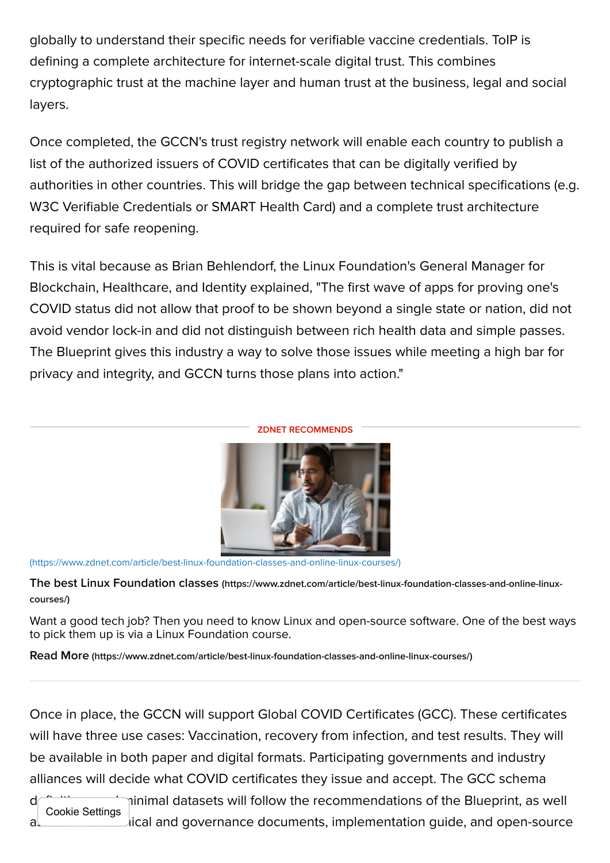globally to understand their specific needs for verifiable vaccine credentials. ToIP is defining a complete architecture for internet-scale digital trust. This combines cryptographic trust at the machine layer and human trust at the business, legal and social layers.

Once completed, the GCCN's trust registry network will enable each country to publish a list of the authorized issuers of COVID certificates that can be digitally verified by authorities in other countries. This will bridge the gap between technical specifications (e.g. W3C Verifiable Credentials or SMART Health Card) and a complete trust architecture required for safe reopening.

This is vital because as Brian Behlendorf, the Linux Foundation's General Manager for Blockchain, Healthcare, and Identity explained, "The first wave of apps for proving one's COVID status did not allow that proof to be shown beyond a single state or nation, did not avoid vendor lock-in and did not distinguish between rich health data and simple passes. The Blueprint gives this industry a way to solve those issues while meeting a high bar for privacy and integrity, and GCCN turns those plans into action."



[\(https://www.zdnet.com/article/best-linux-foundation-classes-and-online-linux-courses/\)](https://www.zdnet.com/article/best-linux-foundation-classes-and-online-linux-courses/)

The best Linux Foundation classes [\(https://www.zdnet.com/article/best-linux-foundation-classes-and-online-linux](https://www.zdnet.com/article/best-linux-foundation-classes-and-online-linux-courses/)courses/)

Want a good tech job? Then you need to know Linux and open-source software. One of the best ways to pick them up is via a Linux Foundation course.

Read More [\(https://www.zdnet.com/article/best-linux-foundation-classes-and-online-linux-courses/\)](https://www.zdnet.com/article/best-linux-foundation-classes-and-online-linux-courses/)

Once in place, the GCCN will support Global COVID Certificates (GCC). These certificates will have three use cases: Vaccination, recovery from infection, and test results. They will be available in both paper and digital formats. Participating governments and industry alliances will decide what COVID certificates they issue and accept. The GCC schema

d<sup>et</sup> the minimal datasets will follow the recommendations of the Blueprint, as well al discussion  $\mathcal{L}$  ical and governance documents, implementation guide, and open-source Cookie Settings

## ZDNET RECOMMENDS